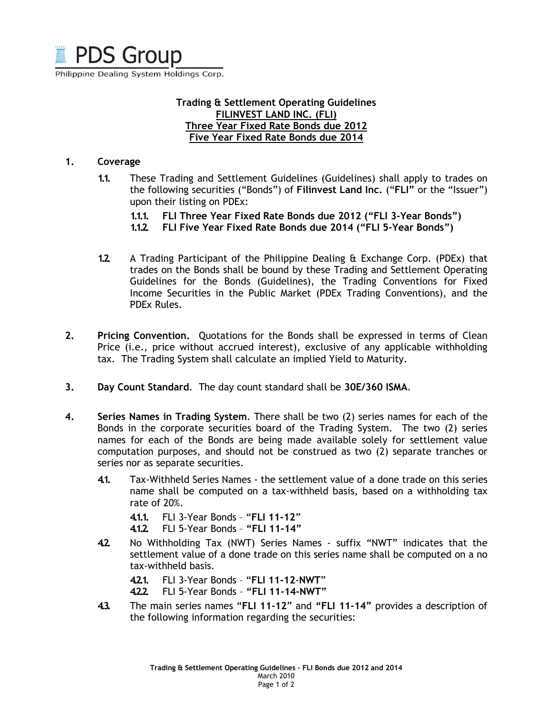

Philippine Dealing System Holdings Corp.

# Trading & Settlement Operating Guidelines FILINVEST LAND INC. (FLI) Three Year Fixed Rate Bonds due 2012 Five Year Fixed Rate Bonds due 2014

### 1. Coverage

- 1.1. These Trading and Settlement Guidelines (Guidelines) shall apply to trades on the following securities ("Bonds") of Filinvest Land Inc. ("FLI" or the "Issuer") upon their listing on PDEx:
	- 1.1.1. FLI Three Year Fixed Rate Bonds due 2012 ("FLI 3-Year Bonds")
	- 1.1.2. FLI Five Year Fixed Rate Bonds due 2014 ("FLI 5-Year Bonds")
- 1.2. A Trading Participant of the Philippine Dealing & Exchange Corp. (PDEx) that trades on the Bonds shall be bound by these Trading and Settlement Operating Guidelines for the Bonds (Guidelines), the Trading Conventions for Fixed Income Securities in the Public Market (PDEx Trading Conventions), and the PDEx Rules.
- 2. Pricing Convention. Quotations for the Bonds shall be expressed in terms of Clean Price (i.e., price without accrued interest), exclusive of any applicable withholding tax. The Trading System shall calculate an implied Yield to Maturity.
- 3. Day Count Standard. The day count standard shall be 30E/360 ISMA.
- 4. Series Names in Trading System. There shall be two (2) series names for each of the Bonds in the corporate securities board of the Trading System. The two (2) series names for each of the Bonds are being made available solely for settlement value computation purposes, and should not be construed as two (2) separate tranches or series nor as separate securities.
	- 4.1. Tax-Withheld Series Names the settlement value of a done trade on this series name shall be computed on a tax-withheld basis, based on a withholding tax rate of 20%.

4.1.1. FLI 3-Year Bonds – "FLI 11-12"

- 4.1.2. FLI 5-Year Bonds "FLI 11-14"
- 4.2. No Withholding Tax (NWT) Series Names suffix "NWT" indicates that the settlement value of a done trade on this series name shall be computed on a no tax-withheld basis.

4.2.1. FLI 3-Year Bonds – "FLI 11-12-NWT"

- 4.2.2. FLI 5-Year Bonds "FLI 11-14-NWT"
- 43. The main series names "FLI 11-12" and "FLI 11-14" provides a description of the following information regarding the securities: